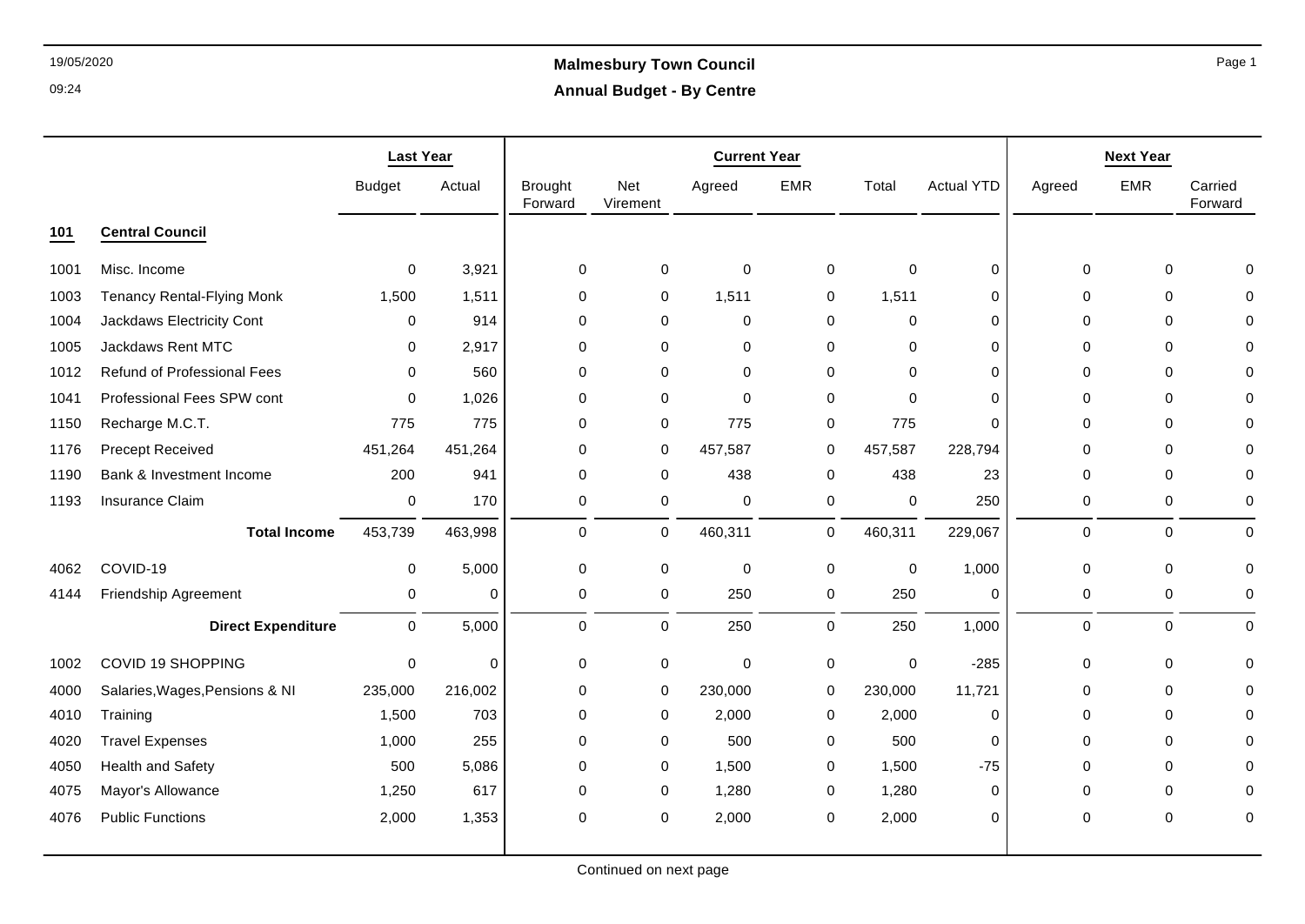# 19/05/2020 **Malmesbury Town Council Annual Budget - By Centre**

|      |                                   | <b>Last Year</b> |                |                           |                 | <b>Current Year</b> |             |             |                   |             | <b>Next Year</b> |                    |
|------|-----------------------------------|------------------|----------------|---------------------------|-----------------|---------------------|-------------|-------------|-------------------|-------------|------------------|--------------------|
|      |                                   | <b>Budget</b>    | Actual         | <b>Brought</b><br>Forward | Net<br>Virement | Agreed              | <b>EMR</b>  | Total       | <b>Actual YTD</b> | Agreed      | <b>EMR</b>       | Carried<br>Forward |
| 101  | <b>Central Council</b>            |                  |                |                           |                 |                     |             |             |                   |             |                  |                    |
| 1001 | Misc. Income                      | 0                | 3,921          | 0                         | 0               | $\mathbf 0$         | 0           | 0           | 0                 | 0           | $\mathbf 0$      | 0                  |
| 1003 | <b>Tenancy Rental-Flying Monk</b> | 1,500            | 1,511          | 0                         | 0               | 1,511               | 0           | 1,511       | $\mathbf 0$       | $\mathbf 0$ | $\mathbf 0$      | $\mathbf{0}$       |
| 1004 | Jackdaws Electricity Cont         | $\mathbf 0$      | 914            | $\mathbf 0$               | 0               | $\mathbf 0$         | 0           | $\mathbf 0$ | $\mathbf 0$       | $\Omega$    | $\Omega$         | 0                  |
| 1005 | <b>Jackdaws Rent MTC</b>          | $\mathbf 0$      | 2,917          | $\mathbf 0$               | $\mathbf 0$     | $\mathbf 0$         | $\mathbf 0$ | $\mathbf 0$ | $\mathbf 0$       | $\Omega$    | $\Omega$         | $\Omega$           |
| 1012 | Refund of Professional Fees       | $\mathbf 0$      | 560            | $\mathbf 0$               | 0               | $\mathbf 0$         | 0           | 0           | 0                 | 0           | $\Omega$         | $\mathbf 0$        |
| 1041 | Professional Fees SPW cont        | $\mathbf 0$      | 1,026          | 0                         | 0               | $\mathbf 0$         | 0           | $\mathbf 0$ | $\mathbf 0$       | 0           | 0                | $\mathbf 0$        |
| 1150 | Recharge M.C.T.                   | 775              | 775            | 0                         | 0               | 775                 | 0           | 775         | 0                 | $\Omega$    | 0                | 0                  |
| 1176 | <b>Precept Received</b>           | 451,264          | 451,264        | 0                         | 0               | 457,587             | 0           | 457,587     | 228,794           | $\Omega$    | $\Omega$         | $\Omega$           |
| 1190 | Bank & Investment Income          | 200              | 941            | $\Omega$                  | 0               | 438                 | 0           | 438         | 23                | $\mathbf 0$ | $\Omega$         | $\mathbf 0$        |
| 1193 | <b>Insurance Claim</b>            | $\mathbf 0$      | 170            | 0                         | 0               | 0                   | $\pmb{0}$   | 0           | 250               | 0           | $\mathbf 0$      | 0                  |
|      | <b>Total Income</b>               | 453,739          | 463,998        | $\mathbf 0$               | $\mathbf 0$     | 460,311             | 0           | 460,311     | 229,067           | $\mathbf 0$ | $\Omega$         | $\mathbf 0$        |
| 4062 | COVID-19                          | 0                | 5,000          | 0                         | 0               | 0                   | 0           | 0           | 1,000             | 0           | 0                | $\mathbf 0$        |
| 4144 | Friendship Agreement              | 0                | $\Omega$       | $\mathbf 0$               | $\mathbf 0$     | 250                 | $\mathbf 0$ | 250         | $\mathbf 0$       | 0           | $\mathbf 0$      | $\mathbf 0$        |
|      | <b>Direct Expenditure</b>         | $\mathbf 0$      | 5,000          | $\mathbf 0$               | 0               | 250                 | $\mathbf 0$ | 250         | 1,000             | $\mathbf 0$ | $\mathbf 0$      | $\mathbf 0$        |
| 1002 | COVID 19 SHOPPING                 | $\mathbf 0$      | $\overline{0}$ | 0                         | 0               | $\mathbf 0$         | $\pmb{0}$   | $\mathbf 0$ | $-285$            | 0           | 0                | $\mathbf 0$        |
| 4000 | Salaries, Wages, Pensions & NI    | 235,000          | 216,002        | $\mathbf 0$               | 0               | 230,000             | $\mathbf 0$ | 230,000     | 11,721            | $\mathbf 0$ | $\mathbf 0$      | $\mathbf 0$        |
| 4010 | Training                          | 1,500            | 703            | 0                         | 0               | 2,000               | 0           | 2,000       | 0                 | 0           | 0                | $\mathbf 0$        |
| 4020 | <b>Travel Expenses</b>            | 1,000            | 255            | 0                         | 0               | 500                 | 0           | 500         | 0                 | 0           | 0                | $\mathbf 0$        |
| 4050 | <b>Health and Safety</b>          | 500              | 5,086          | $\Omega$                  | 0               | 1,500               | 0           | 1,500       | $-75$             | $\Omega$    | $\Omega$         | $\mathbf{0}$       |
| 4075 | Mayor's Allowance                 | 1,250            | 617            | $\mathbf 0$               | 0               | 1,280               | 0           | 1,280       | $\mathbf 0$       | $\mathbf 0$ | $\mathbf 0$      | 0                  |
| 4076 | <b>Public Functions</b>           | 2,000            | 1,353          | 0                         | 0               | 2,000               | $\mathbf 0$ | 2,000       | $\mathbf 0$       | $\mathbf 0$ | 0                | $\mathbf 0$        |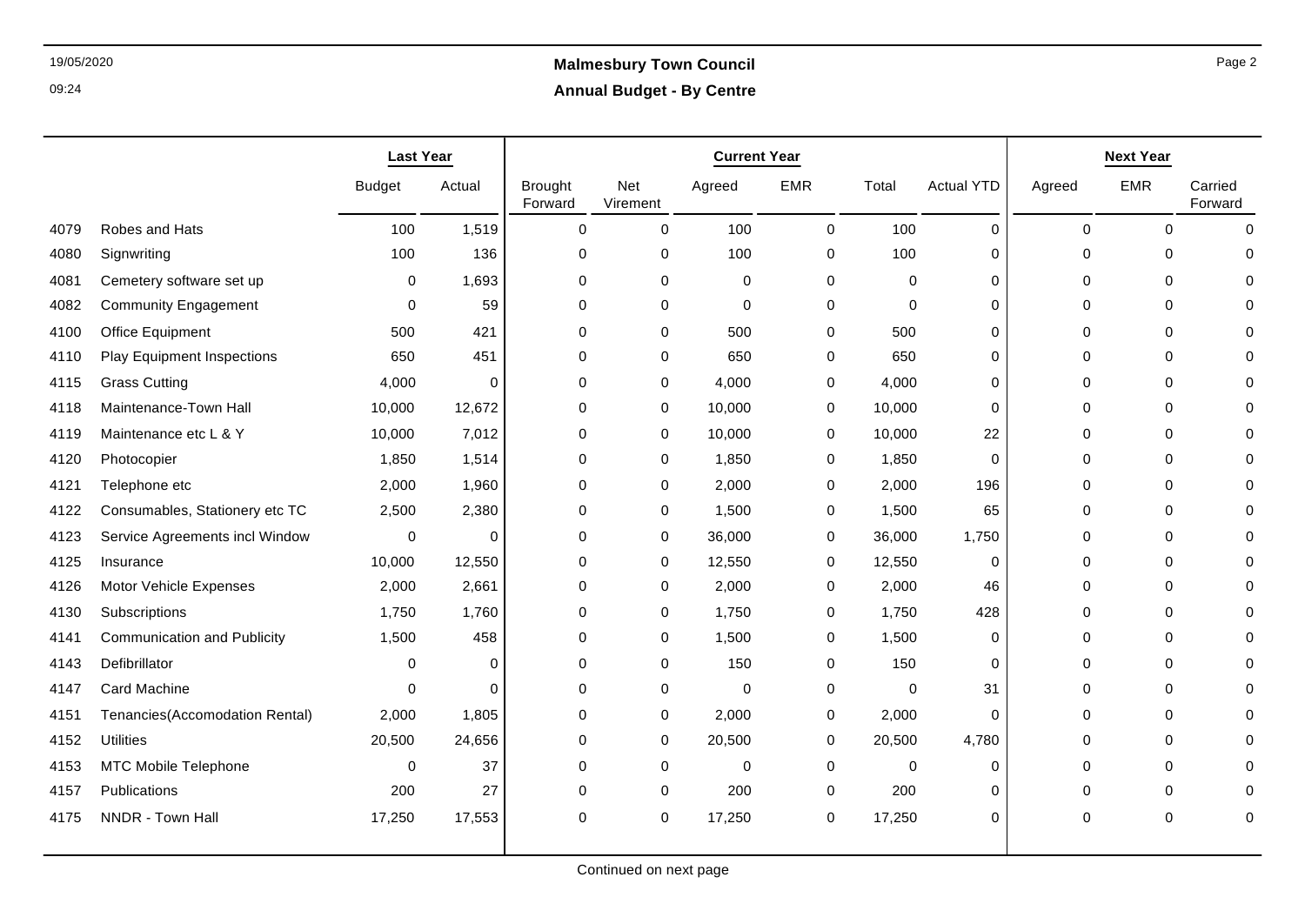|      |                                    | <b>Last Year</b> |          |                           |                        | <b>Current Year</b> |             |             |                   |          | <b>Next Year</b> |                    |
|------|------------------------------------|------------------|----------|---------------------------|------------------------|---------------------|-------------|-------------|-------------------|----------|------------------|--------------------|
|      |                                    | <b>Budget</b>    | Actual   | <b>Brought</b><br>Forward | <b>Net</b><br>Virement | Agreed              | <b>EMR</b>  | Total       | <b>Actual YTD</b> | Agreed   | <b>EMR</b>       | Carried<br>Forward |
| 4079 | Robes and Hats                     | 100              | 1,519    | $\Omega$                  | $\mathbf 0$            | 100                 | $\mathbf 0$ | 100         | $\Omega$          | $\Omega$ | $\Omega$         | $\Omega$           |
| 4080 | Signwriting                        | 100              | 136      | 0                         | 0                      | 100                 | 0           | 100         | 0                 | 0        | 0                |                    |
| 4081 | Cemetery software set up           | 0                | 1,693    | $\mathbf 0$               | 0                      | 0                   | 0           | $\Omega$    | 0                 | 0        | $\mathbf 0$      |                    |
| 4082 | <b>Community Engagement</b>        | 0                | 59       | 0                         | 0                      | 0                   | 0           | 0           | 0                 | 0        | 0                |                    |
| 4100 | Office Equipment                   | 500              | 421      | 0                         | 0                      | 500                 | 0           | 500         | 0                 | 0        | 0                |                    |
| 4110 | <b>Play Equipment Inspections</b>  | 650              | 451      | $\Omega$                  | $\mathbf 0$            | 650                 | $\Omega$    | 650         | $\Omega$          | $\Omega$ | $\mathbf 0$      |                    |
| 4115 | <b>Grass Cutting</b>               | 4,000            | $\Omega$ | $\Omega$                  | 0                      | 4,000               | 0           | 4,000       | 0                 | $\Omega$ | $\Omega$         |                    |
| 4118 | Maintenance-Town Hall              | 10,000           | 12,672   | $\mathbf 0$               | 0                      | 10,000              | 0           | 10,000      | 0                 | 0        | $\mathbf 0$      |                    |
| 4119 | Maintenance etc L & Y              | 10,000           | 7,012    | 0                         | 0                      | 10,000              | 0           | 10,000      | 22                | $\Omega$ | 0                |                    |
| 4120 | Photocopier                        | 1,850            | 1,514    | $\Omega$                  | 0                      | 1,850               | 0           | 1,850       | $\Omega$          | $\Omega$ | $\Omega$         |                    |
| 4121 | Telephone etc                      | 2,000            | 1,960    | 0                         | 0                      | 2,000               | 0           | 2,000       | 196               | 0        | 0                |                    |
| 4122 | Consumables, Stationery etc TC     | 2,500            | 2,380    | $\mathbf 0$               | 0                      | 1,500               | 0           | 1,500       | 65                | $\Omega$ | $\mathbf 0$      |                    |
| 4123 | Service Agreements incl Window     | $\Omega$         | 0        | $\mathbf 0$               | 0                      | 36,000              | 0           | 36,000      | 1,750             | 0        | $\mathbf 0$      |                    |
| 4125 | Insurance                          | 10,000           | 12,550   | 0                         | 0                      | 12,550              | 0           | 12,550      | 0                 | 0        | 0                |                    |
| 4126 | Motor Vehicle Expenses             | 2,000            | 2,661    | 0                         | 0                      | 2,000               | 0           | 2,000       | 46                | $\Omega$ | 0                |                    |
| 4130 | Subscriptions                      | 1,750            | 1,760    | 0                         | 0                      | 1,750               | 0           | 1,750       | 428               | 0        | 0                |                    |
| 4141 | <b>Communication and Publicity</b> | 1,500            | 458      | 0                         | 0                      | 1,500               | 0           | 1,500       | 0                 | 0        | 0                |                    |
| 4143 | Defibrillator                      | $\Omega$         | $\Omega$ | 0                         | 0                      | 150                 | 0           | 150         | 0                 | $\Omega$ | 0                |                    |
| 4147 | Card Machine                       | $\Omega$         | $\Omega$ | $\Omega$                  | 0                      | 0                   | 0           | 0           | 31                | 0        | $\Omega$         |                    |
| 4151 | Tenancies(Accomodation Rental)     | 2,000            | 1,805    | 0                         | 0                      | 2,000               | 0           | 2,000       | 0                 | 0        | 0                |                    |
| 4152 | <b>Utilities</b>                   | 20,500           | 24,656   | 0                         | 0                      | 20,500              | 0           | 20,500      | 4,780             | 0        | 0                |                    |
| 4153 | MTC Mobile Telephone               | $\Omega$         | 37       | $\mathbf 0$               | 0                      | $\mathbf 0$         | 0           | $\mathbf 0$ | $\Omega$          | 0        | 0                |                    |
| 4157 | Publications                       | 200              | 27       | 0                         | 0                      | 200                 | 0           | 200         | 0                 | 0        | 0                |                    |
| 4175 | NNDR - Town Hall                   | 17,250           | 17,553   | $\Omega$                  | 0                      | 17,250              | 0           | 17,250      | $\Omega$          | $\Omega$ | $\Omega$         | $\Omega$           |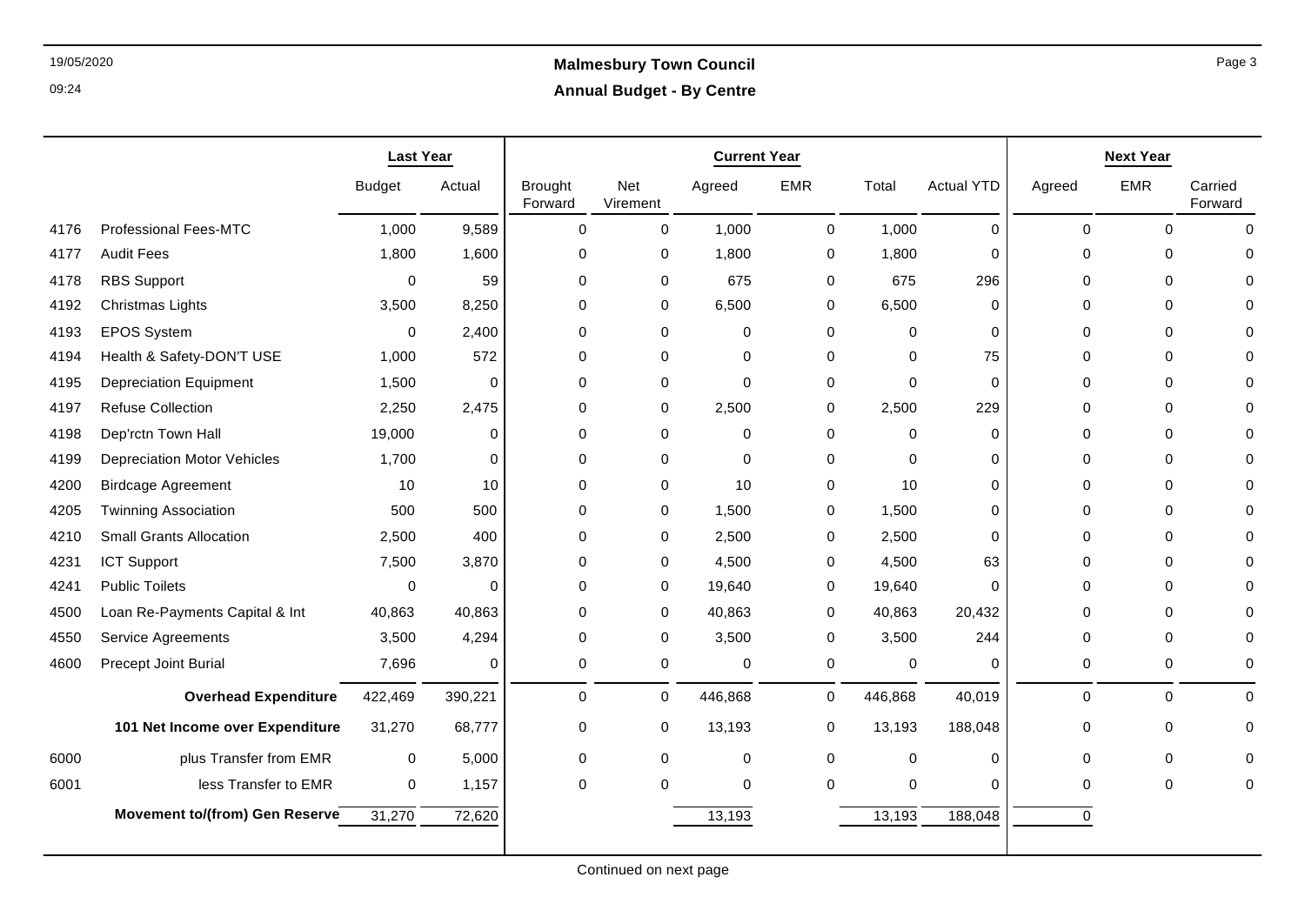|      |                                    | <b>Last Year</b> |             |                           |                 | <b>Current Year</b> |             |             |                   |             | <b>Next Year</b> |                    |
|------|------------------------------------|------------------|-------------|---------------------------|-----------------|---------------------|-------------|-------------|-------------------|-------------|------------------|--------------------|
|      |                                    | <b>Budget</b>    | Actual      | <b>Brought</b><br>Forward | Net<br>Virement | Agreed              | <b>EMR</b>  | Total       | <b>Actual YTD</b> | Agreed      | <b>EMR</b>       | Carried<br>Forward |
| 4176 | Professional Fees-MTC              | 1,000            | 9,589       | $\mathbf 0$               | $\Omega$        | 1,000               | 0           | 1,000       | $\mathbf 0$       | $\mathbf 0$ | $\mathbf 0$      | $\Omega$           |
| 4177 | <b>Audit Fees</b>                  | 1,800            | 1,600       | $\Omega$                  | $\Omega$        | 1,800               | $\mathbf 0$ | 1,800       | $\Omega$          | $\Omega$    | $\Omega$         | $\Omega$           |
| 4178 | <b>RBS Support</b>                 | $\mathbf 0$      | 59          | $\Omega$                  | $\Omega$        | 675                 | 0           | 675         | 296               | $\Omega$    | $\Omega$         | $\mathbf{0}$       |
| 4192 | <b>Christmas Lights</b>            | 3,500            | 8,250       | 0                         | 0               | 6,500               | 0           | 6,500       | 0                 | 0           | 0                | $\Omega$           |
| 4193 | <b>EPOS System</b>                 | $\mathbf 0$      | 2,400       | $\Omega$                  | $\Omega$        | $\mathbf 0$         | $\mathbf 0$ | $\mathbf 0$ | $\Omega$          | $\Omega$    | 0                | $\Omega$           |
| 4194 | Health & Safety-DON'T USE          | 1,000            | 572         | $\Omega$                  | $\Omega$        | $\mathbf 0$         | $\mathbf 0$ | $\mathbf 0$ | 75                | $\Omega$    | $\Omega$         | $\Omega$           |
| 4195 | <b>Depreciation Equipment</b>      | 1,500            | $\mathbf 0$ | $\mathbf 0$               | 0               | $\Omega$            | 0           | $\mathbf 0$ | $\mathbf 0$       | $\Omega$    | 0                | $\Omega$           |
| 4197 | <b>Refuse Collection</b>           | 2,250            | 2,475       | 0                         | 0               | 2,500               | 0           | 2,500       | 229               | $\Omega$    | 0                | 0                  |
| 4198 | Dep'rctn Town Hall                 | 19,000           | $\Omega$    | $\Omega$                  | $\Omega$        | $\mathbf{0}$        | $\mathbf 0$ | 0           | $\Omega$          | $\Omega$    | 0                | $\Omega$           |
| 4199 | <b>Depreciation Motor Vehicles</b> | 1,700            | $\mathbf 0$ | 0                         | $\Omega$        | $\mathbf 0$         | 0           | $\mathbf 0$ | $\Omega$          | $\Omega$    | 0                | $\Omega$           |
| 4200 | <b>Birdcage Agreement</b>          | 10               | 10          | $\Omega$                  | 0               | 10                  | 0           | 10          | $\mathbf 0$       | 0           | 0                | $\mathbf{0}$       |
| 4205 | <b>Twinning Association</b>        | 500              | 500         | $\Omega$                  | $\Omega$        | 1,500               | 0           | 1,500       | $\Omega$          | $\Omega$    | $\Omega$         | $\Omega$           |
| 4210 | <b>Small Grants Allocation</b>     | 2,500            | 400         | $\Omega$                  | $\Omega$        | 2,500               | 0           | 2,500       | $\Omega$          | $\Omega$    | 0                | $\Omega$           |
| 4231 | ICT Support                        | 7,500            | 3,870       | $\Omega$                  | 0               | 4,500               | 0           | 4,500       | 63                | $\Omega$    | $\Omega$         | $\Omega$           |
| 4241 | <b>Public Toilets</b>              | 0                | $\pmb{0}$   | 0                         | 0               | 19,640              | 0           | 19,640      | $\Omega$          | 0           | 0                | 0                  |
| 4500 | Loan Re-Payments Capital & Int     | 40,863           | 40,863      | $\Omega$                  | $\Omega$        | 40,863              | $\mathbf 0$ | 40,863      | 20,432            | $\Omega$    | $\Omega$         | $\Omega$           |
| 4550 | Service Agreements                 | 3,500            | 4,294       | 0                         | 0               | 3,500               | 0           | 3,500       | 244               | $\Omega$    | $\Omega$         | $\Omega$           |
| 4600 | Precept Joint Burial               | 7,696            | $\mathbf 0$ | 0                         | $\mathbf 0$     | $\mathbf 0$         | 0           | $\pmb{0}$   | $\mathbf 0$       | $\mathbf 0$ | $\mathbf 0$      | $\mathbf 0$        |
|      | <b>Overhead Expenditure</b>        | 422,469          | 390,221     | $\Omega$                  | $\Omega$        | 446,868             | $\mathbf 0$ | 446,868     | 40,019            | $\Omega$    | $\Omega$         | $\mathbf{0}$       |
|      | 101 Net Income over Expenditure    | 31,270           | 68,777      | $\mathbf 0$               | 0               | 13,193              | 0           | 13,193      | 188,048           | $\mathbf 0$ | 0                | $\mathbf 0$        |
| 6000 | plus Transfer from EMR             | $\pmb{0}$        | 5,000       | $\mathbf 0$               | $\Omega$        | $\mathbf 0$         | 0           | $\mathbf 0$ | $\mathbf 0$       | $\Omega$    | $\Omega$         | $\Omega$           |
| 6001 | less Transfer to EMR               | $\mathbf 0$      | 1,157       | 0                         | $\Omega$        | $\mathbf 0$         | $\mathbf 0$ | $\pmb{0}$   | $\mathbf 0$       | $\Omega$    | 0                | $\mathbf{0}$       |
|      | Movement to/(from) Gen Reserve     | 31,270           | 72,620      |                           |                 | 13,193              |             | 13,193      | 188,048           | $\Omega$    |                  |                    |
|      |                                    |                  |             |                           |                 |                     |             |             |                   |             |                  |                    |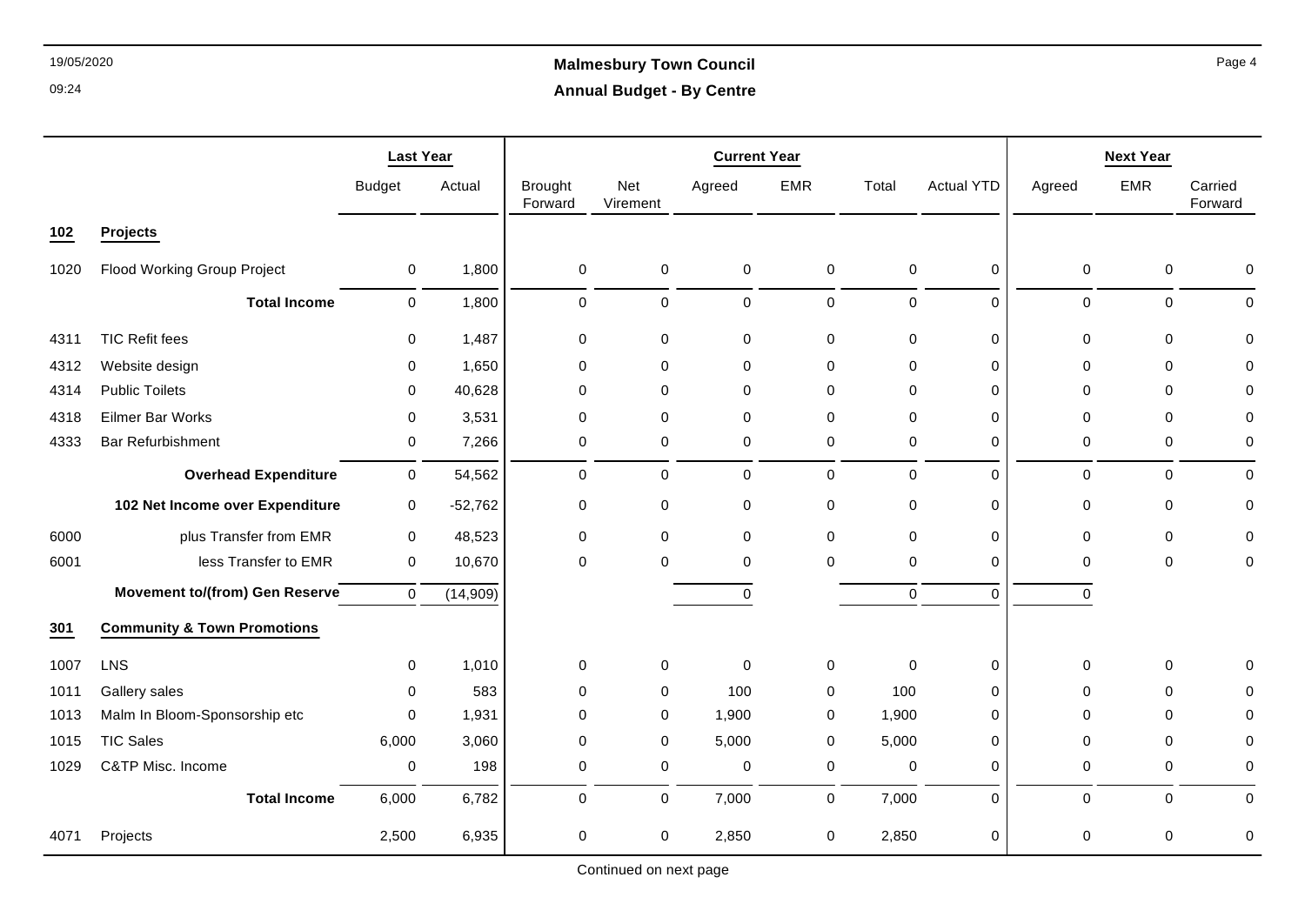# 19/05/2020 **Malmesbury Town Council Annual Budget - By Centre**

|      |                                        | <b>Last Year</b> |           |                           |                 | <b>Current Year</b> |             |             |                   |             | <b>Next Year</b> |                    |
|------|----------------------------------------|------------------|-----------|---------------------------|-----------------|---------------------|-------------|-------------|-------------------|-------------|------------------|--------------------|
|      |                                        | <b>Budget</b>    | Actual    | <b>Brought</b><br>Forward | Net<br>Virement | Agreed              | <b>EMR</b>  | Total       | <b>Actual YTD</b> | Agreed      | <b>EMR</b>       | Carried<br>Forward |
| 102  | Projects                               |                  |           |                           |                 |                     |             |             |                   |             |                  |                    |
| 1020 | Flood Working Group Project            | 0                | 1,800     | $\mathbf 0$               | 0               | 0                   | $\mathbf 0$ | 0           | 0                 | $\mathbf 0$ | $\mathbf 0$      | $\mathbf 0$        |
|      | <b>Total Income</b>                    | $\mathbf 0$      | 1,800     | 0                         | 0               | $\pmb{0}$           | $\mathbf 0$ | 0           | $\mathbf 0$       | $\mathbf 0$ | 0                | $\mathbf 0$        |
| 4311 | <b>TIC Refit fees</b>                  | $\mathbf 0$      | 1,487     | $\mathbf 0$               | 0               | $\mathbf 0$         | $\mathbf 0$ | 0           | 0                 | $\mathbf 0$ | 0                | $\mathbf 0$        |
| 4312 | Website design                         | 0                | 1,650     | $\mathbf 0$               | 0               | $\mathbf 0$         | $\mathbf 0$ | $\mathbf 0$ | $\mathbf 0$       | $\mathbf 0$ | $\mathbf 0$      | $\Omega$           |
| 4314 | <b>Public Toilets</b>                  | 0                | 40,628    | $\mathbf 0$               | 0               | $\mathbf 0$         | $\mathbf 0$ | $\mathbf 0$ | $\mathbf 0$       | 0           | 0                | $\Omega$           |
| 4318 | Eilmer Bar Works                       | $\mathbf 0$      | 3,531     | $\mathbf 0$               | 0               | $\mathbf 0$         | $\mathbf 0$ | $\mathbf 0$ | 0                 | $\mathbf 0$ | $\mathbf 0$      | 0                  |
| 4333 | <b>Bar Refurbishment</b>               | 0                | 7,266     | 0                         | 0               | $\mathbf 0$         | 0           | 0           | $\mathbf 0$       | 0           | 0                | 0                  |
|      | <b>Overhead Expenditure</b>            | $\mathbf 0$      | 54,562    | $\mathbf 0$               | 0               | $\mathbf 0$         | $\mathbf 0$ | 0           | $\mathbf 0$       | $\mathbf 0$ | $\mathbf 0$      | $\mathbf 0$        |
|      | 102 Net Income over Expenditure        | $\mathbf 0$      | $-52,762$ | 0                         | 0               | 0                   | $\mathbf 0$ | 0           | 0                 | 0           | 0                | 0                  |
| 6000 | plus Transfer from EMR                 | 0                | 48,523    | $\mathbf 0$               | 0               | $\mathbf 0$         | $\mathbf 0$ | $\mathbf 0$ | 0                 | $\mathbf 0$ | 0                | $\Omega$           |
| 6001 | less Transfer to EMR                   | 0                | 10,670    | $\mathbf 0$               | 0               | $\mathbf 0$         | $\mathbf 0$ | 0           | 0                 | 0           | 0                | 0                  |
|      | <b>Movement to/(from) Gen Reserve</b>  | $\mathbf 0$      | (14, 909) |                           |                 | $\pmb{0}$           |             | 0           | $\Omega$          | $\mathbf 0$ |                  |                    |
| 301  | <b>Community &amp; Town Promotions</b> |                  |           |                           |                 |                     |             |             |                   |             |                  |                    |
| 1007 | LNS                                    | 0                | 1,010     | 0                         | 0               | 0                   | $\mathbf 0$ | 0           | 0                 | 0           | 0                | $\Omega$           |
| 1011 | Gallery sales                          | $\Omega$         | 583       | $\Omega$                  | 0               | 100                 | 0           | 100         | 0                 | $\Omega$    | $\Omega$         | $\Omega$           |
| 1013 | Malm In Bloom-Sponsorship etc          | $\mathbf 0$      | 1,931     | $\mathbf 0$               | 0               | 1,900               | $\mathbf 0$ | 1,900       | $\mathbf 0$       | $\Omega$    | 0                | $\Omega$           |
| 1015 | <b>TIC Sales</b>                       | 6,000            | 3,060     | $\mathbf 0$               | 0               | 5,000               | $\mathbf 0$ | 5,000       | 0                 | 0           | $\mathbf 0$      | $\mathbf 0$        |
| 1029 | C&TP Misc. Income                      | $\mathbf 0$      | 198       | 0                         | 0               | $\pmb{0}$           | $\mathbf 0$ | 0           | 0                 | 0           | 0                | 0                  |
|      | <b>Total Income</b>                    | 6,000            | 6,782     | $\mathbf 0$               | 0               | 7,000               | $\mathbf 0$ | 7,000       | $\mathbf 0$       | $\mathbf 0$ | $\mathbf 0$      | $\mathbf 0$        |
| 4071 | Projects                               | 2,500            | 6,935     | 0                         | 0               | 2,850               | $\mathbf 0$ | 2,850       | $\mathbf 0$       | $\mathbf 0$ | 0                | 0                  |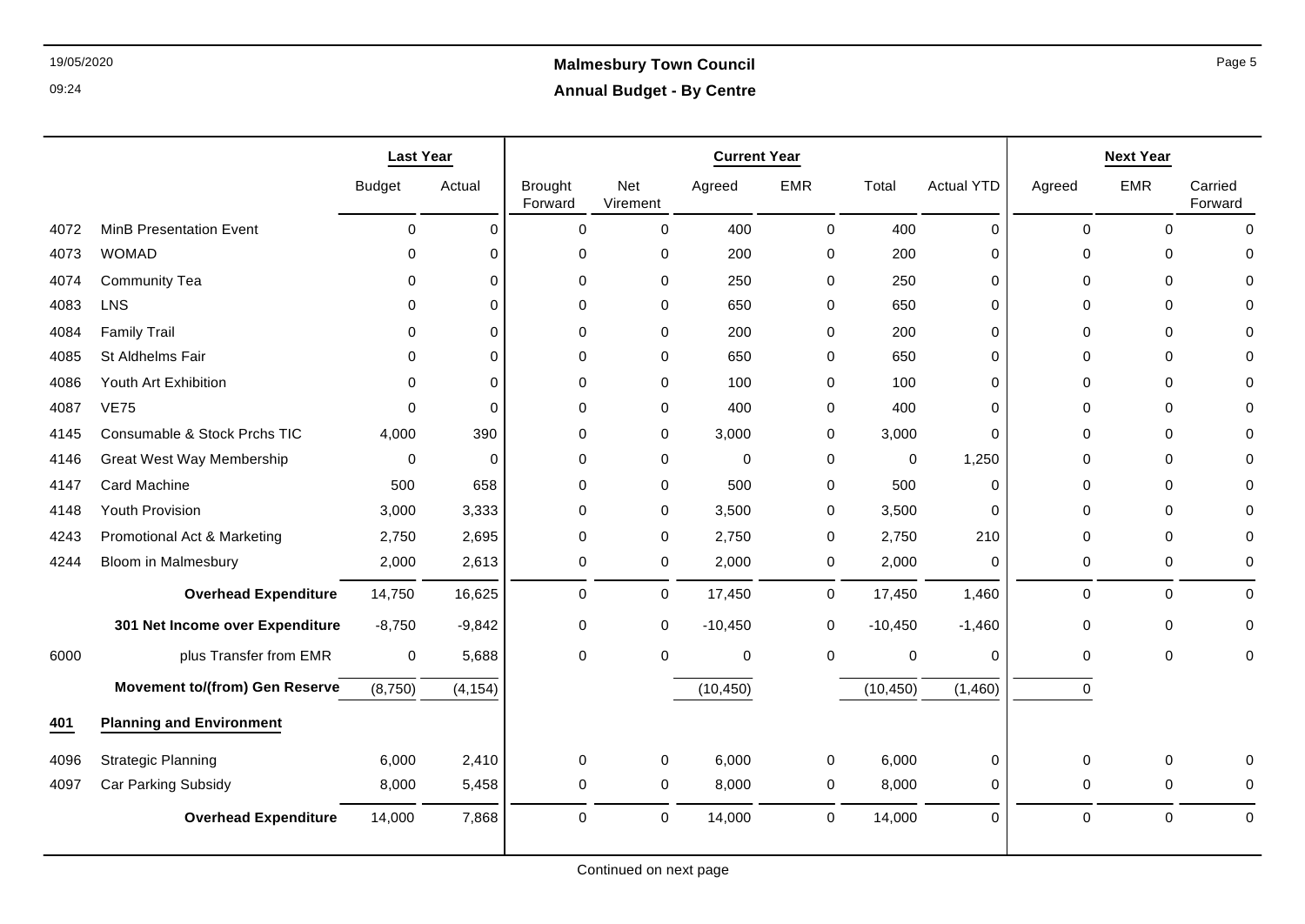|      |                                       | <b>Last Year</b> |             |                           |                 | <b>Current Year</b> |             |             |                   | <b>Next Year</b> |             |                    |  |
|------|---------------------------------------|------------------|-------------|---------------------------|-----------------|---------------------|-------------|-------------|-------------------|------------------|-------------|--------------------|--|
|      |                                       | <b>Budget</b>    | Actual      | <b>Brought</b><br>Forward | Net<br>Virement | Agreed              | EMR         | Total       | <b>Actual YTD</b> | Agreed           | <b>EMR</b>  | Carried<br>Forward |  |
| 4072 | <b>MinB Presentation Event</b>        | $\mathbf 0$      | $\Omega$    | $\mathbf 0$               | $\Omega$        | 400                 | 0           | 400         | $\mathbf 0$       | $\Omega$         | $\Omega$    | $\Omega$           |  |
| 4073 | <b>WOMAD</b>                          | $\Omega$         | $\Omega$    | $\mathbf 0$               | 0               | 200                 | $\mathbf 0$ | 200         | $\Omega$          | $\Omega$         | $\mathbf 0$ | $\Omega$           |  |
| 4074 | <b>Community Tea</b>                  | $\Omega$         | $\Omega$    | $\mathbf 0$               | 0               | 250                 | $\mathbf 0$ | 250         | $\mathbf 0$       | $\Omega$         | $\mathbf 0$ | $\Omega$           |  |
| 4083 | <b>LNS</b>                            | $\Omega$         | $\Omega$    | $\mathbf 0$               | 0               | 650                 | 0           | 650         | $\mathbf 0$       | $\Omega$         | $\Omega$    | $\Omega$           |  |
| 4084 | <b>Family Trail</b>                   | $\mathbf{0}$     | $\Omega$    | $\Omega$                  | 0               | 200                 | $\mathbf 0$ | 200         | $\Omega$          | $\Omega$         | $\Omega$    | 0                  |  |
| 4085 | St Aldhelms Fair                      | $\Omega$         | $\Omega$    | $\mathbf 0$               | 0               | 650                 | 0           | 650         | $\mathbf 0$       | 0                | $\Omega$    | 0                  |  |
| 4086 | Youth Art Exhibition                  | 0                | 0           | $\mathbf 0$               | 0               | 100                 | $\mathbf 0$ | 100         | $\mathbf 0$       | 0                | $\mathbf 0$ | $\Omega$           |  |
| 4087 | <b>VE75</b>                           | $\Omega$         | $\Omega$    | $\Omega$                  | 0               | 400                 | 0           | 400         | $\Omega$          | $\Omega$         | $\Omega$    | $\Omega$           |  |
| 4145 | Consumable & Stock Prchs TIC          | 4,000            | 390         | $\Omega$                  | 0               | 3,000               | $\mathbf 0$ | 3,000       | $\mathbf 0$       | $\Omega$         | $\Omega$    | $\Omega$           |  |
| 4146 | <b>Great West Way Membership</b>      | $\mathbf 0$      | $\mathbf 0$ | $\mathbf 0$               | 0               | 0                   | $\pmb{0}$   | $\mathbf 0$ | 1,250             | $\Omega$         | $\mathbf 0$ | $\Omega$           |  |
| 4147 | <b>Card Machine</b>                   | 500              | 658         | $\Omega$                  | 0               | 500                 | 0           | 500         | $\Omega$          | 0                | $\Omega$    | $\Omega$           |  |
| 4148 | Youth Provision                       | 3,000            | 3,333       | $\mathbf 0$               | 0               | 3,500               | $\mathbf 0$ | 3,500       | $\Omega$          | $\Omega$         | $\mathbf 0$ | $\Omega$           |  |
| 4243 | Promotional Act & Marketing           | 2,750            | 2,695       | $\mathbf 0$               | 0               | 2,750               | 0           | 2,750       | 210               | $\Omega$         | $\mathbf 0$ | 0                  |  |
| 4244 | <b>Bloom in Malmesbury</b>            | 2,000            | 2,613       | $\mathbf 0$               | 0               | 2,000               | 0           | 2,000       | 0                 | 0                | 0           | 0                  |  |
|      | <b>Overhead Expenditure</b>           | 14,750           | 16,625      | $\mathbf 0$               | $\mathsf{O}$    | 17,450              | $\mathbf 0$ | 17,450      | 1,460             | $\mathbf 0$      | $\mathbf 0$ | $\mathbf 0$        |  |
|      | 301 Net Income over Expenditure       | $-8,750$         | $-9,842$    | $\mathbf 0$               | 0               | $-10,450$           | $\mathbf 0$ | $-10,450$   | $-1,460$          | 0                | $\mathbf 0$ | 0                  |  |
| 6000 | plus Transfer from EMR                | $\mathbf 0$      | 5,688       | 0                         | 0               | 0                   | 0           | $\mathbf 0$ | $\mathbf 0$       | $\Omega$         | $\mathbf 0$ | 0                  |  |
|      | <b>Movement to/(from) Gen Reserve</b> | (8,750)          | (4, 154)    |                           |                 | (10, 450)           |             | (10, 450)   | (1,460)           | $\mathbf 0$      |             |                    |  |
| 401  | <b>Planning and Environment</b>       |                  |             |                           |                 |                     |             |             |                   |                  |             |                    |  |
| 4096 | <b>Strategic Planning</b>             | 6,000            | 2,410       | $\mathbf 0$               | 0               | 6,000               | 0           | 6,000       | 0                 | 0                | $\mathbf 0$ | $\Omega$           |  |
| 4097 | Car Parking Subsidy                   | 8,000            | 5,458       | $\mathbf 0$               | 0               | 8,000               | 0           | 8,000       | 0                 | $\mathbf 0$      | $\Omega$    | 0                  |  |
|      | <b>Overhead Expenditure</b>           | 14,000           | 7,868       | $\mathbf 0$               | $\mathbf 0$     | 14,000              | 0           | 14,000      | $\Omega$          | $\mathbf 0$      | $\mathbf 0$ | $\Omega$           |  |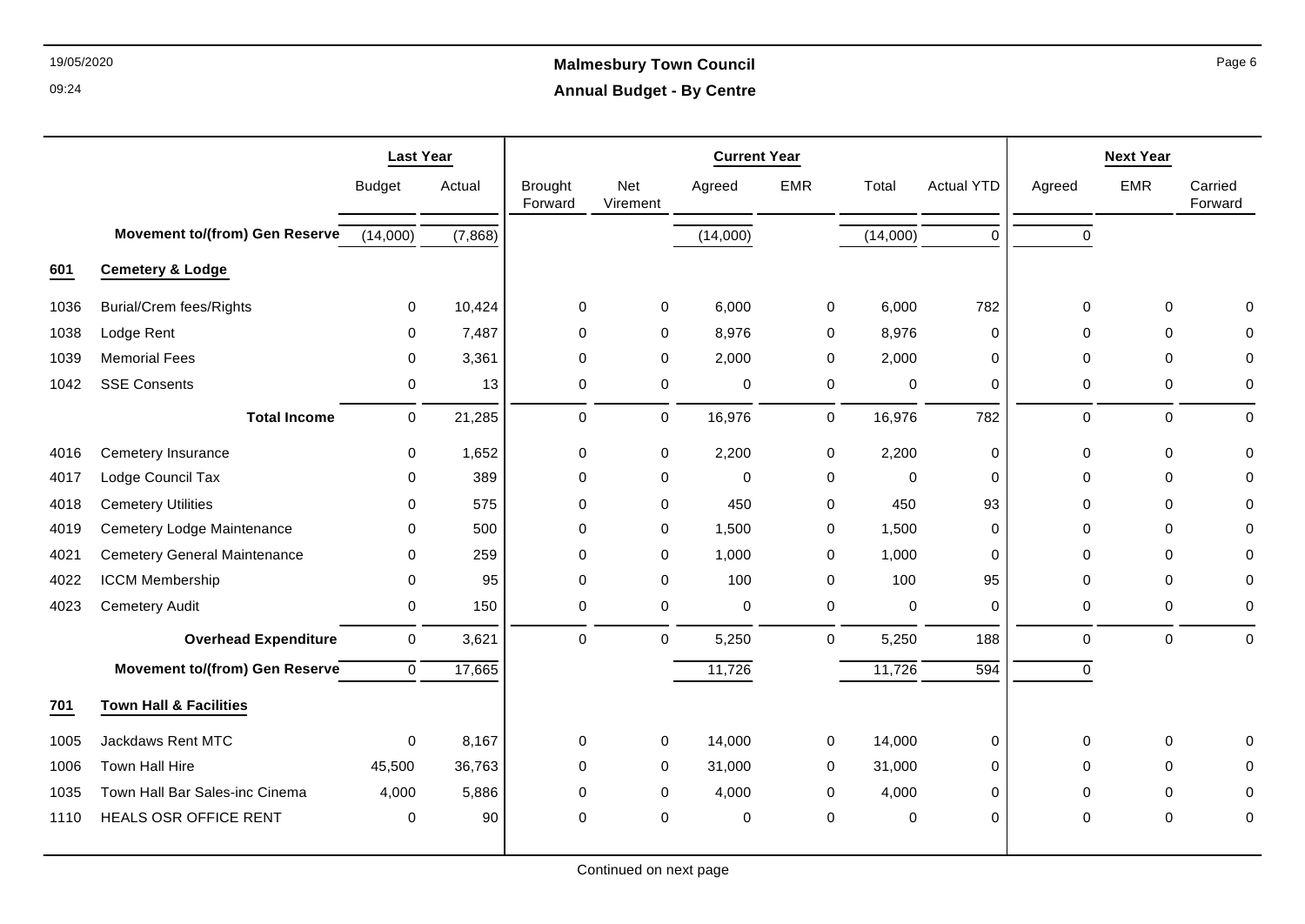# 19/05/2020 **Malmesbury Town Council Annual Budget - By Centre**

|      |                                       | <b>Last Year</b> |         |                           |                  | <b>Current Year</b> |            |             |                   | <b>Next Year</b> |             |                    |  |
|------|---------------------------------------|------------------|---------|---------------------------|------------------|---------------------|------------|-------------|-------------------|------------------|-------------|--------------------|--|
|      |                                       | <b>Budget</b>    | Actual  | <b>Brought</b><br>Forward | Net<br>Virement  | Agreed              | <b>EMR</b> | Total       | <b>Actual YTD</b> | Agreed           | <b>EMR</b>  | Carried<br>Forward |  |
|      | <b>Movement to/(from) Gen Reserve</b> | (14,000)         | (7,868) |                           |                  | (14,000)            |            | (14,000)    | $\Omega$          | $\Omega$         |             |                    |  |
| 601  | <b>Cemetery &amp; Lodge</b>           |                  |         |                           |                  |                     |            |             |                   |                  |             |                    |  |
| 1036 | <b>Burial/Crem fees/Rights</b>        | 0                | 10,424  | $\mathbf 0$               | $\mathbf 0$      | 6,000               | 0          | 6,000       | 782               | $\mathbf 0$      | $\mathbf 0$ | $\Omega$           |  |
| 1038 | Lodge Rent                            | $\Omega$         | 7,487   | $\mathbf 0$               | $\mathbf 0$      | 8,976               | 0          | 8,976       | 0                 | $\Omega$         | $\Omega$    | 0                  |  |
| 1039 | <b>Memorial Fees</b>                  | 0                | 3,361   | $\mathbf 0$               | $\mathbf 0$      | 2,000               | 0          | 2,000       | 0                 | $\mathbf 0$      | $\Omega$    | 0                  |  |
| 1042 | <b>SSE Consents</b>                   | 0                | 13      | $\mathbf 0$               | $\boldsymbol{0}$ | 0                   | 0          | 0           | 0                 | 0                | 0           | 0                  |  |
|      | <b>Total Income</b>                   | 0                | 21,285  | 0                         | 0                | 16,976              | 0          | 16,976      | 782               | 0                | $\mathbf 0$ | $\mathbf 0$        |  |
| 4016 | Cemetery Insurance                    | $\mathbf 0$      | 1,652   | 0                         | 0                | 2,200               | 0          | 2,200       | 0                 | 0                | $\mathbf 0$ | $\mathbf 0$        |  |
| 4017 | Lodge Council Tax                     | $\Omega$         | 389     | $\mathbf 0$               | $\mathbf 0$      | $\mathbf 0$         | 0          | $\mathbf 0$ | $\mathbf 0$       | $\mathbf 0$      | $\Omega$    | $\Omega$           |  |
| 4018 | <b>Cemetery Utilities</b>             | $\Omega$         | 575     | $\mathbf 0$               | $\mathbf 0$      | 450                 | 0          | 450         | 93                | $\mathbf 0$      | $\mathbf 0$ | $\Omega$           |  |
| 4019 | Cemetery Lodge Maintenance            | 0                | 500     | $\pmb{0}$                 | $\boldsymbol{0}$ | 1,500               | 0          | 1,500       | 0                 | $\mathbf 0$      | $\mathbf 0$ | $\mathbf 0$        |  |
| 4021 | <b>Cemetery General Maintenance</b>   | 0                | 259     | $\mathbf 0$               | $\mathbf 0$      | 1,000               | 0          | 1,000       | 0                 | $\mathbf 0$      | $\mathbf 0$ | 0                  |  |
| 4022 | ICCM Membership                       | $\Omega$         | 95      | $\mathbf 0$               | $\mathbf 0$      | 100                 | 0          | 100         | 95                | $\mathbf{0}$     | $\Omega$    | $\Omega$           |  |
| 4023 | <b>Cemetery Audit</b>                 | $\mathbf 0$      | 150     | $\pmb{0}$                 | $\mathsf 0$      | $\mathbf 0$         | $\pmb{0}$  | $\pmb{0}$   | 0                 | 0                | $\mathbf 0$ | $\mathbf 0$        |  |
|      | <b>Overhead Expenditure</b>           | $\mathbf 0$      | 3,621   | $\Omega$                  | $\mathbf 0$      | 5,250               | 0          | 5,250       | 188               | $\mathbf{0}$     | $\Omega$    | $\Omega$           |  |
|      | Movement to/(from) Gen Reserve        | $\mathbf 0$      | 17,665  |                           |                  | 11,726              |            | 11,726      | $\overline{594}$  | $\mathbf 0$      |             |                    |  |
| 701  | <b>Town Hall &amp; Facilities</b>     |                  |         |                           |                  |                     |            |             |                   |                  |             |                    |  |
| 1005 | Jackdaws Rent MTC                     | $\mathbf 0$      | 8,167   | $\mathbf 0$               | $\boldsymbol{0}$ | 14,000              | 0          | 14,000      | 0                 | $\mathbf 0$      | $\mathbf 0$ | $\Omega$           |  |
| 1006 | Town Hall Hire                        | 45,500           | 36,763  | $\mathbf 0$               | $\boldsymbol{0}$ | 31,000              | 0          | 31,000      | $\mathsf{O}$      | $\mathbf 0$      | $\Omega$    | $\Omega$           |  |
| 1035 | Town Hall Bar Sales-inc Cinema        | 4,000            | 5,886   | $\mathbf 0$               | $\mathbf 0$      | 4,000               | 0          | 4,000       | 0                 | $\mathbf 0$      | 0           | $\Omega$           |  |
| 1110 | HEALS OSR OFFICE RENT                 | 0                | 90      | $\mathbf 0$               | $\mathbf 0$      | $\mathbf 0$         | $\pmb{0}$  | $\pmb{0}$   | $\mathbf 0$       | $\mathbf 0$      | $\Omega$    | 0                  |  |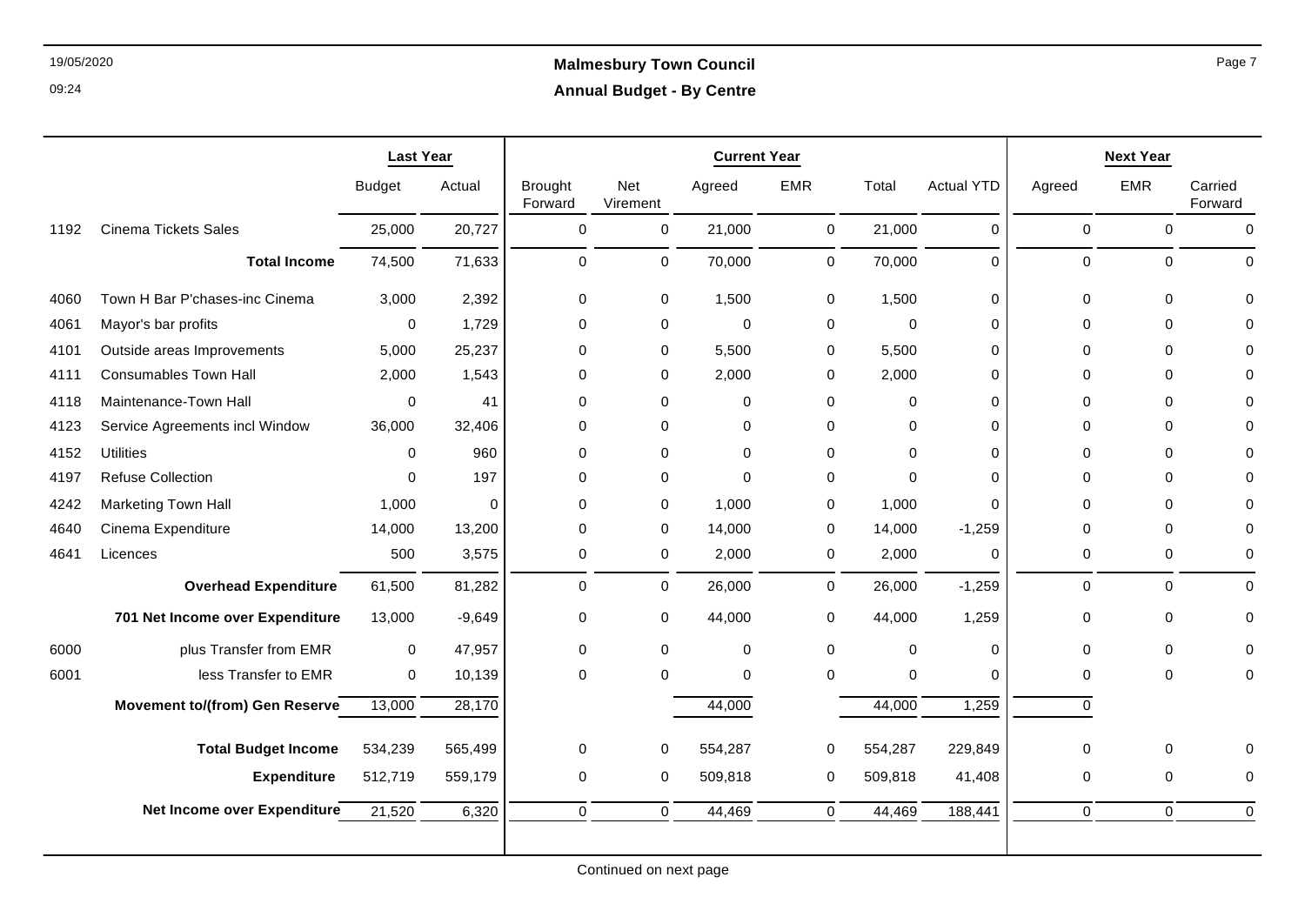|      |                                       | <b>Last Year</b> |          |                           |                 | <b>Current Year</b> |             |             |                   | <b>Next Year</b> |             |                    |  |
|------|---------------------------------------|------------------|----------|---------------------------|-----------------|---------------------|-------------|-------------|-------------------|------------------|-------------|--------------------|--|
|      |                                       | <b>Budget</b>    | Actual   | <b>Brought</b><br>Forward | Net<br>Virement | Agreed              | <b>EMR</b>  | Total       | <b>Actual YTD</b> | Agreed           | <b>EMR</b>  | Carried<br>Forward |  |
| 1192 | <b>Cinema Tickets Sales</b>           | 25,000           | 20,727   | $\mathbf 0$               | $\mathbf 0$     | 21,000              | $\mathbf 0$ | 21,000      | $\mathbf 0$       | $\mathbf 0$      | $\mathbf 0$ | $\mathbf 0$        |  |
|      | <b>Total Income</b>                   | 74,500           | 71,633   | $\mathbf 0$               | $\mathsf{O}$    | 70,000              | 0           | 70,000      | $\mathbf 0$       | $\mathbf 0$      | 0           | $\Omega$           |  |
| 4060 | Town H Bar P'chases-inc Cinema        | 3,000            | 2,392    | 0                         | 0               | 1,500               | 0           | 1,500       | 0                 | $\mathbf 0$      | $\mathbf 0$ | $\Omega$           |  |
| 4061 | Mayor's bar profits                   | 0                | 1,729    | 0                         | 0               | $\mathbf 0$         | 0           | $\mathbf 0$ | 0                 | 0                | $\mathbf 0$ | $\Omega$           |  |
| 4101 | Outside areas Improvements            | 5,000            | 25,237   | 0                         | 0               | 5,500               | 0           | 5,500       | 0                 | 0                | 0           | $\mathbf{0}$       |  |
| 4111 | <b>Consumables Town Hall</b>          | 2,000            | 1,543    | 0                         | 0               | 2,000               | $\mathbf 0$ | 2,000       | $\Omega$          | $\Omega$         | $\Omega$    | $\Omega$           |  |
| 4118 | Maintenance-Town Hall                 | $\mathbf 0$      | 41       | 0                         | 0               | 0                   | $\mathbf 0$ | 0           | $\mathbf 0$       | $\Omega$         | $\Omega$    | $\mathbf{0}$       |  |
| 4123 | Service Agreements incl Window        | 36,000           | 32,406   | $\Omega$                  | $\Omega$        | $\mathbf 0$         | $\mathbf 0$ | $\Omega$    | $\Omega$          | $\Omega$         | $\Omega$    | $\Omega$           |  |
| 4152 | <b>Utilities</b>                      | $\mathbf 0$      | 960      | $\mathbf 0$               | $\mathbf 0$     | $\Omega$            | $\mathbf 0$ | $\mathbf 0$ | $\Omega$          | $\Omega$         | $\Omega$    | $\Omega$           |  |
| 4197 | <b>Refuse Collection</b>              | $\Omega$         | 197      | $\Omega$                  | $\mathbf 0$     | $\Omega$            | $\mathbf 0$ | $\Omega$    | $\Omega$          | $\Omega$         | $\Omega$    | $\Omega$           |  |
| 4242 | <b>Marketing Town Hall</b>            | 1,000            | $\Omega$ | $\mathbf 0$               | $\mathbf 0$     | 1,000               | $\mathbf 0$ | 1,000       | $\Omega$          | $\Omega$         | $\Omega$    | $\Omega$           |  |
| 4640 | Cinema Expenditure                    | 14,000           | 13,200   | $\mathbf 0$               | 0               | 14,000              | 0           | 14,000      | $-1,259$          | $\mathbf 0$      | $\Omega$    | $\mathbf 0$        |  |
| 4641 | Licences                              | 500              | 3,575    | $\mathbf 0$               | 0               | 2,000               | 0           | 2,000       | $\mathbf 0$       | $\mathbf 0$      | $\mathbf 0$ | $\mathbf 0$        |  |
|      | <b>Overhead Expenditure</b>           | 61,500           | 81,282   | $\mathbf 0$               | $\mathbf 0$     | 26,000              | 0           | 26,000      | $-1,259$          | $\mathbf 0$      | $\Omega$    | $\Omega$           |  |
|      | 701 Net Income over Expenditure       | 13,000           | $-9,649$ | 0                         | 0               | 44,000              | 0           | 44,000      | 1,259             | 0                | $\mathbf 0$ | 0                  |  |
| 6000 | plus Transfer from EMR                | $\mathbf 0$      | 47,957   | $\mathbf 0$               | $\mathbf 0$     | $\mathbf 0$         | $\mathbf 0$ | $\mathbf 0$ | $\mathbf 0$       | $\mathbf 0$      | $\Omega$    | $\Omega$           |  |
| 6001 | less Transfer to EMR                  | $\mathbf 0$      | 10,139   | $\mathbf 0$               | $\mathbf 0$     | $\mathbf 0$         | $\mathbf 0$ | $\mathbf 0$ | $\mathbf 0$       | $\mathbf 0$      | $\mathbf 0$ | $\mathbf 0$        |  |
|      | <b>Movement to/(from) Gen Reserve</b> | 13,000           | 28,170   |                           |                 | 44,000              |             | 44,000      | 1,259             | $\mathbf 0$      |             |                    |  |
|      | <b>Total Budget Income</b>            | 534,239          | 565,499  | 0                         | 0               | 554,287             | 0           | 554,287     | 229,849           | 0                | 0           | 0                  |  |
|      | <b>Expenditure</b>                    | 512,719          | 559,179  | 0                         | 0               | 509,818             | 0           | 509,818     | 41,408            | 0                | $\mathbf 0$ | $\mathbf 0$        |  |
|      | Net Income over Expenditure           | 21,520           | 6,320    | $\Omega$                  | $\Omega$        | 44,469              | $\mathbf 0$ | 44,469      | 188,441           | $\mathbf 0$      | $\Omega$    | $\mathbf 0$        |  |
|      |                                       |                  |          |                           |                 |                     |             |             |                   |                  |             |                    |  |